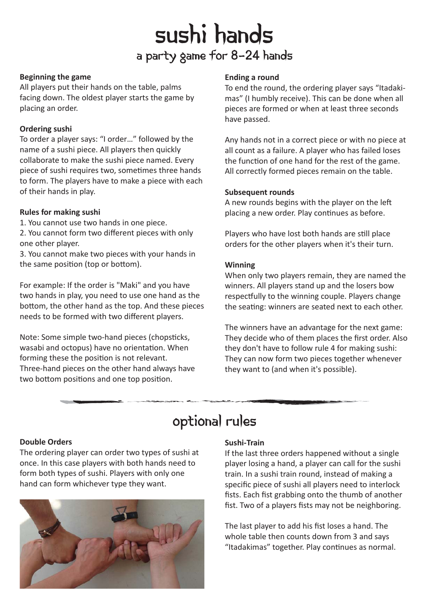# sushi hands a party game for 8-24 hands

#### **Beginning the game**

All players put their hands on the table, palms facing down. The oldest player starts the game by placing an order.

### **Ordering sushi**

To order a player says: "I order…" followed by the name of a sushi piece. All players then quickly collaborate to make the sushi piece named. Every piece of sushi requires two, sometimes three hands to form. The players have to make a piece with each of their hands in play.

### **Rules for making sushi**

1. You cannot use two hands in one piece.

2. You cannot form two different pieces with only one other player.

3. You cannot make two pieces with your hands in the same position (top or bottom).

For example: If the order is "Maki" and you have two hands in play, you need to use one hand as the bottom, the other hand as the top. And these pieces needs to be formed with two different players.

Note: Some simple two-hand pieces (chopsticks, wasabi and octopus) have no orientation. When forming these the position is not relevant. Three-hand pieces on the other hand always have two bottom positions and one top position.

### **Ending a round**

To end the round, the ordering player says "Itadakimas" (I humbly receive). This can be done when all pieces are formed or when at least three seconds have passed.

Any hands not in a correct piece or with no piece at all count as a failure. A player who has failed loses the function of one hand for the rest of the game. All correctly formed pieces remain on the table.

### **Subsequent rounds**

A new rounds begins with the player on the left placing a new order. Play continues as before.

Players who have lost both hands are still place orders for the other players when it's their turn.

### **Winning**

When only two players remain, they are named the winners. All players stand up and the losers bow respectfully to the winning couple. Players change the seating: winners are seated next to each other.

The winners have an advantage for the next game: They decide who of them places the first order. Also they don't have to follow rule 4 for making sushi: They can now form two pieces together whenever they want to (and when it's possible).

### optional rules

### **Double Orders**

The ordering player can order two types of sushi at once. In this case players with both hands need to form both types of sushi. Players with only one hand can form whichever type they want.



### **Sushi-Train**

If the last three orders happened without a single player losing a hand, a player can call for the sushi train. In a sushi train round, instead of making a specific piece of sushi all players need to interlock fists. Each fist grabbing onto the thumb of another fist. Two of a players fists may not be neighboring.

The last player to add his fist loses a hand. The whole table then counts down from 3 and says "Itadakimas" together. Play continues as normal.